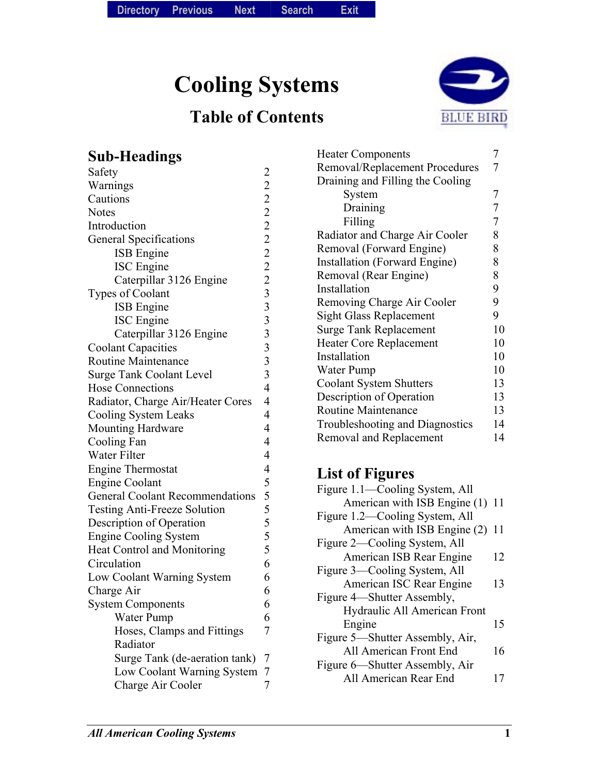**Cooling Systems** 

# **Table of Contents**



# **Sub-Headings**

| Safety                                 |                               |  |  |
|----------------------------------------|-------------------------------|--|--|
| Warnings                               | 2 2 2 2 2 2 2 2 3 3 3 3 3 3 4 |  |  |
| Cautions                               |                               |  |  |
| <b>Notes</b>                           |                               |  |  |
| Introduction                           |                               |  |  |
| General Specifications                 |                               |  |  |
| <b>ISB</b> Engine                      |                               |  |  |
| <b>ISC</b> Engine                      |                               |  |  |
| Caterpillar 3126 Engine                |                               |  |  |
| <b>Types of Coolant</b>                |                               |  |  |
| <b>ISB</b> Engine                      |                               |  |  |
| <b>ISC</b> Engine                      |                               |  |  |
| Caterpillar 3126 Engine                |                               |  |  |
| <b>Coolant Capacities</b>              |                               |  |  |
| <b>Routine Maintenance</b>             |                               |  |  |
| <b>Surge Tank Coolant Level</b>        |                               |  |  |
| <b>Hose Connections</b>                |                               |  |  |
| Radiator, Charge Air/Heater Cores      | $\overline{4}$                |  |  |
| Cooling System Leaks                   |                               |  |  |
| <b>Mounting Hardware</b>               |                               |  |  |
| Cooling Fan                            | 4                             |  |  |
| Water Filter                           | $\overline{4}$                |  |  |
| <b>Engine Thermostat</b>               |                               |  |  |
| <b>Engine Coolant</b>                  | 4 5 5 5 5 5 5 5               |  |  |
| <b>General Coolant Recommendations</b> |                               |  |  |
| <b>Testing Anti-Freeze Solution</b>    |                               |  |  |
| Description of Operation               |                               |  |  |
| <b>Engine Cooling System</b>           |                               |  |  |
| Heat Control and Monitoring            |                               |  |  |
| Circulation                            | 6                             |  |  |
| Low Coolant Warning System             | 6                             |  |  |
| Charge Air                             | 6                             |  |  |
| <b>System Components</b>               | 6                             |  |  |
| Water Pump                             | 6                             |  |  |
| Hoses, Clamps and Fittings             | 7                             |  |  |
| Radiator                               |                               |  |  |
| Surge Tank (de-aeration tank)          | 7                             |  |  |
| Low Coolant Warning System             | 7                             |  |  |
| Charge Air Cooler                      | $\overline{7}$                |  |  |

| <b>Heater Components</b>             |                |  |
|--------------------------------------|----------------|--|
| Removal/Replacement Procedures       | 7              |  |
| Draining and Filling the Cooling     |                |  |
| System                               | 7              |  |
| Draining                             | 7              |  |
| Filling                              | $\overline{7}$ |  |
| Radiator and Charge Air Cooler       | 8              |  |
| Removal (Forward Engine)             | 8              |  |
| <b>Installation (Forward Engine)</b> | 8              |  |
| Removal (Rear Engine)                | 8              |  |
| Installation                         | 9              |  |
| Removing Charge Air Cooler           | 9              |  |
| <b>Sight Glass Replacement</b>       | 9              |  |
| <b>Surge Tank Replacement</b>        | 10             |  |
| <b>Heater Core Replacement</b>       | 10             |  |
| Installation                         | 10             |  |
| Water Pump                           | 10             |  |
| <b>Coolant System Shutters</b>       | 13             |  |
| Description of Operation             | 13             |  |
| <b>Routine Maintenance</b>           | 13             |  |
| Troubleshooting and Diagnostics      | 14             |  |
| Removal and Replacement              | 14             |  |
|                                      |                |  |

# **List of Figures**

| Figure 1.1—Cooling System, All  |    |
|---------------------------------|----|
| American with ISB Engine (1) 11 |    |
| Figure 1.2—Cooling System, All  |    |
| American with ISB Engine (2)    | 11 |
| Figure 2—Cooling System, All    |    |
| American ISB Rear Engine        | 12 |
| Figure 3—Cooling System, All    |    |
| American ISC Rear Engine        | 13 |
| Figure 4—Shutter Assembly,      |    |
| Hydraulic All American Front    |    |
| Engine                          | 15 |
| Figure 5—Shutter Assembly, Air, |    |
| All American Front End          | 16 |
| Figure 6—Shutter Assembly, Air  |    |
| All American Rear End           |    |
|                                 |    |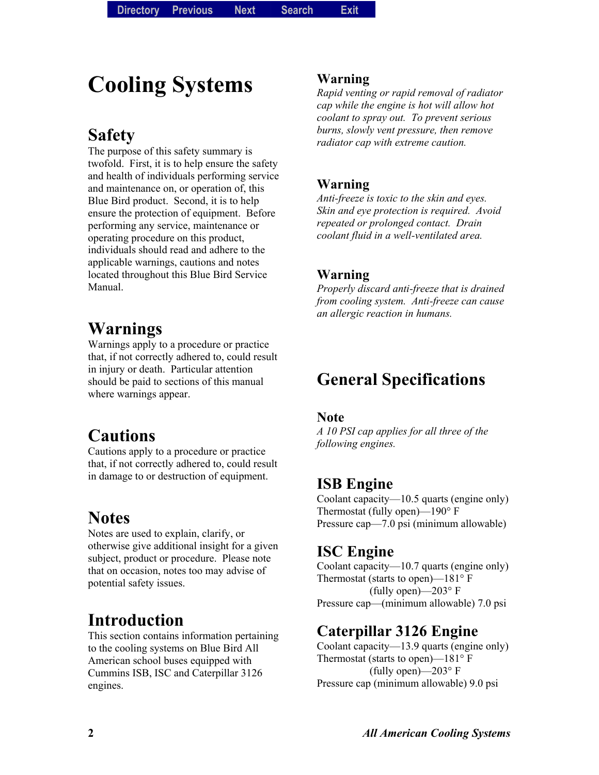# **Cooling Systems**

# **Safety**

The purpose of this safety summary is twofold. First, it is to help ensure the safety and health of individuals performing service and maintenance on, or operation of, this Blue Bird product. Second, it is to help ensure the protection of equipment. Before performing any service, maintenance or operating procedure on this product, individuals should read and adhere to the applicable warnings, cautions and notes located throughout this Blue Bird Service Manual.

# **Warnings**

Warnings apply to a procedure or practice that, if not correctly adhered to, could result in injury or death. Particular attention should be paid to sections of this manual where warnings appear.

# **Cautions**

Cautions apply to a procedure or practice that, if not correctly adhered to, could result in damage to or destruction of equipment.

# **Notes**

Notes are used to explain, clarify, or otherwise give additional insight for a given subject, product or procedure. Please note that on occasion, notes too may advise of potential safety issues.

# **Introduction**

This section contains information pertaining to the cooling systems on Blue Bird All American school buses equipped with Cummins ISB, ISC and Caterpillar 3126 engines.

#### **Warning**

*Rapid venting or rapid removal of radiator cap while the engine is hot will allow hot coolant to spray out. To prevent serious burns, slowly vent pressure, then remove radiator cap with extreme caution.* 

#### **Warning**

*Anti-freeze is toxic to the skin and eyes. Skin and eye protection is required. Avoid repeated or prolonged contact. Drain coolant fluid in a well-ventilated area.* 

#### **Warning**

*Properly discard anti-freeze that is drained from cooling system. Anti-freeze can cause an allergic reaction in humans.* 

# **General Specifications**

#### **Note**

*A 10 PSI cap applies for all three of the following engines.* 

### **ISB Engine**

Coolant capacity $-10.5$  quarts (engine only) Thermostat (fully open)— $190^\circ$  F Pressure cap—7.0 psi (minimum allowable)

### **ISC Engine**

Coolant capacity— $10.7$  quarts (engine only) Thermostat (starts to open)— $181^\circ$  F (fully open) $-203^\circ$  F Pressure cap—(minimum allowable) 7.0 psi

### **Caterpillar 3126 Engine**

Coolant capacity $-13.9$  quarts (engine only) Thermostat (starts to open)— $181^\circ$  F (fully open) $-203^\circ$  F Pressure cap (minimum allowable) 9.0 psi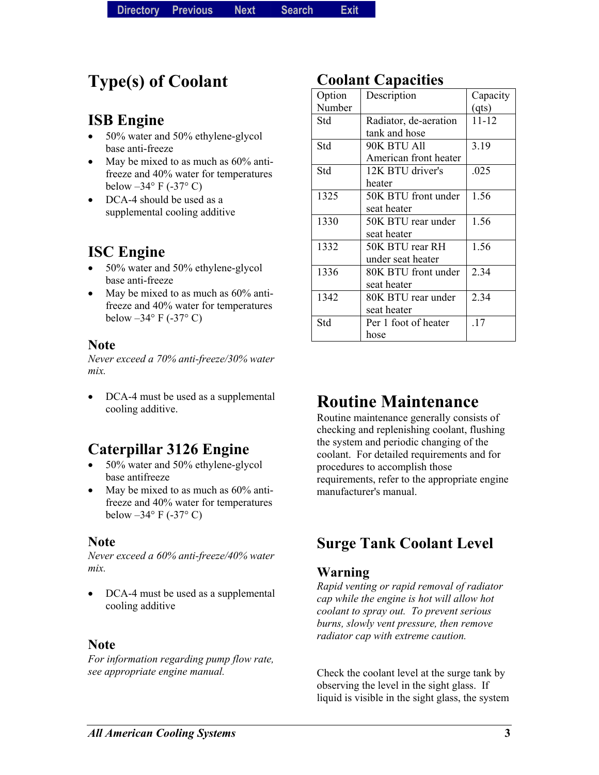# **Type(s) of Coolant**

## **ISB Engine**

- 50% water and 50% ethylene-glycol base anti-freeze
- May be mixed to as much as  $60\%$  antifreeze and 40% water for temperatures below  $-34^\circ$  F ( $-37^\circ$  C)
- DCA-4 should be used as a supplemental cooling additive

## **ISC Engine**

- 50% water and 50% ethylene-glycol base anti-freeze
- May be mixed to as much as 60% antifreeze and 40% water for temperatures below  $-34^\circ$  F (-37° C)

#### **Note**

*Never exceed a 70% anti-freeze/30% water mix.* 

DCA-4 must be used as a supplemental cooling additive.

## **Caterpillar 3126 Engine**

- 50% water and 50% ethylene-glycol base antifreeze
- May be mixed to as much as  $60\%$  antifreeze and 40% water for temperatures below  $-34^{\circ}$  F (-37° C)

#### **Note**

*Never exceed a 60% anti-freeze/40% water mix.*

• DCA-4 must be used as a supplemental cooling additive

#### **Note**

*For information regarding pump flow rate, see appropriate engine manual.* 

## **Coolant Capacities**

| Option | Description           | Capacity  |
|--------|-----------------------|-----------|
| Number |                       | (qts)     |
| Std    | Radiator, de-aeration | $11 - 12$ |
|        | tank and hose         |           |
| Std    | 90K BTU All           | 3.19      |
|        | American front heater |           |
| Std    | 12K BTU driver's      | .025      |
|        | heater                |           |
| 1325   | 50K BTU front under   | 1.56      |
|        | seat heater           |           |
| 1330   | 50K BTU rear under    | 1.56      |
|        | seat heater           |           |
| 1332   | 50K BTU rear RH       | 1.56      |
|        | under seat heater     |           |
| 1336   | 80K BTU front under   | 2.34      |
|        | seat heater           |           |
| 1342   | 80K BTU rear under    | 2.34      |
|        | seat heater           |           |
| Std    | Per 1 foot of heater  | .17       |
|        | hose                  |           |

# **Routine Maintenance**

Routine maintenance generally consists of checking and replenishing coolant, flushing the system and periodic changing of the coolant. For detailed requirements and for procedures to accomplish those requirements, refer to the appropriate engine manufacturer's manual.

# **Surge Tank Coolant Level**

### **Warning**

*Rapid venting or rapid removal of radiator cap while the engine is hot will allow hot coolant to spray out. To prevent serious burns, slowly vent pressure, then remove radiator cap with extreme caution.* 

Check the coolant level at the surge tank by observing the level in the sight glass. If liquid is visible in the sight glass, the system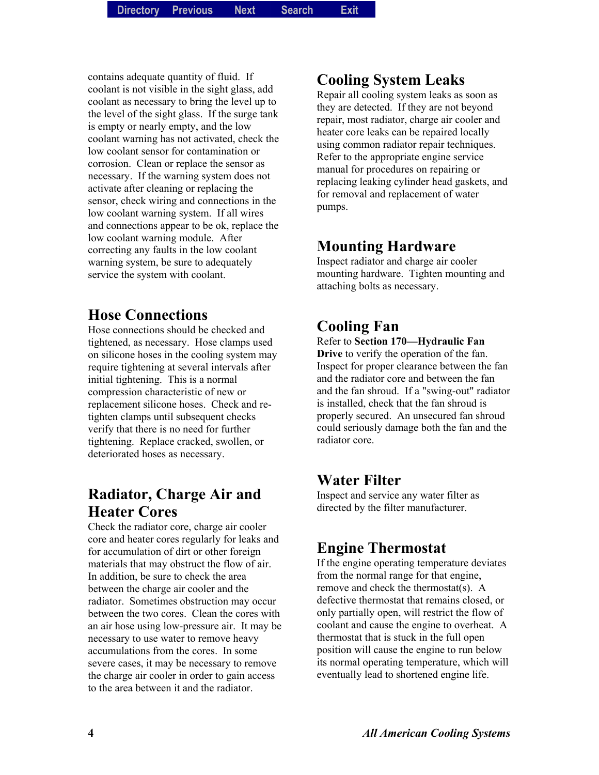contains adequate quantity of fluid. If coolant is not visible in the sight glass, add coolant as necessary to bring the level up to the level of the sight glass. If the surge tank is empty or nearly empty, and the low coolant warning has not activated, check the low coolant sensor for contamination or corrosion. Clean or replace the sensor as necessary. If the warning system does not activate after cleaning or replacing the sensor, check wiring and connections in the low coolant warning system. If all wires and connections appear to be ok, replace the low coolant warning module. After correcting any faults in the low coolant warning system, be sure to adequately service the system with coolant.

### **Hose Connections**

Hose connections should be checked and tightened, as necessary. Hose clamps used on silicone hoses in the cooling system may require tightening at several intervals after initial tightening. This is a normal compression characteristic of new or replacement silicone hoses. Check and retighten clamps until subsequent checks verify that there is no need for further tightening. Replace cracked, swollen, or deteriorated hoses as necessary.

# **Radiator, Charge Air and Heater Cores**

Check the radiator core, charge air cooler core and heater cores regularly for leaks and for accumulation of dirt or other foreign materials that may obstruct the flow of air. In addition, be sure to check the area between the charge air cooler and the radiator. Sometimes obstruction may occur between the two cores. Clean the cores with an air hose using low-pressure air. It may be necessary to use water to remove heavy accumulations from the cores. In some severe cases, it may be necessary to remove the charge air cooler in order to gain access to the area between it and the radiator.

## **Cooling System Leaks**

Repair all cooling system leaks as soon as they are detected. If they are not beyond repair, most radiator, charge air cooler and heater core leaks can be repaired locally using common radiator repair techniques. Refer to the appropriate engine service manual for procedures on repairing or replacing leaking cylinder head gaskets, and for removal and replacement of water pumps.

### **Mounting Hardware**

Inspect radiator and charge air cooler mounting hardware. Tighten mounting and attaching bolts as necessary.

## **Cooling Fan**

Refer to **Section 170—Hydraulic Fan Drive** to verify the operation of the fan. Inspect for proper clearance between the fan and the radiator core and between the fan and the fan shroud. If a "swing-out" radiator is installed, check that the fan shroud is properly secured. An unsecured fan shroud could seriously damage both the fan and the radiator core.

### **Water Filter**

Inspect and service any water filter as directed by the filter manufacturer.

## **Engine Thermostat**

If the engine operating temperature deviates from the normal range for that engine, remove and check the thermostat(s). A defective thermostat that remains closed, or only partially open, will restrict the flow of coolant and cause the engine to overheat. A thermostat that is stuck in the full open position will cause the engine to run below its normal operating temperature, which will eventually lead to shortened engine life.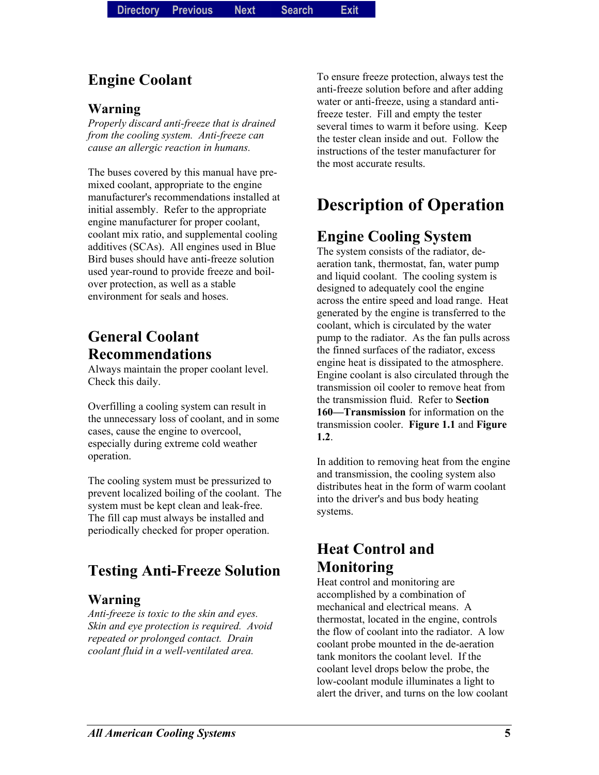## **Engine Coolant**

#### **Warning**

*Properly discard anti-freeze that is drained from the cooling system. Anti-freeze can cause an allergic reaction in humans.* 

The buses covered by this manual have premixed coolant, appropriate to the engine manufacturer's recommendations installed at initial assembly. Refer to the appropriate engine manufacturer for proper coolant, coolant mix ratio, and supplemental cooling additives (SCAs). All engines used in Blue Bird buses should have anti-freeze solution used year-round to provide freeze and boilover protection, as well as a stable environment for seals and hoses.

# **General Coolant Recommendations**

Always maintain the proper coolant level. Check this daily.

Overfilling a cooling system can result in the unnecessary loss of coolant, and in some cases, cause the engine to overcool, especially during extreme cold weather operation.

The cooling system must be pressurized to prevent localized boiling of the coolant. The system must be kept clean and leak-free. The fill cap must always be installed and periodically checked for proper operation.

# **Testing Anti-Freeze Solution**

#### **Warning**

*Anti-freeze is toxic to the skin and eyes. Skin and eye protection is required. Avoid repeated or prolonged contact. Drain coolant fluid in a well-ventilated area.* 

To ensure freeze protection, always test the anti-freeze solution before and after adding water or anti-freeze, using a standard antifreeze tester. Fill and empty the tester several times to warm it before using. Keep the tester clean inside and out. Follow the instructions of the tester manufacturer for the most accurate results.

# **Description of Operation**

## **Engine Cooling System**

The system consists of the radiator, deaeration tank, thermostat, fan, water pump and liquid coolant. The cooling system is designed to adequately cool the engine across the entire speed and load range. Heat generated by the engine is transferred to the coolant, which is circulated by the water pump to the radiator. As the fan pulls across the finned surfaces of the radiator, excess engine heat is dissipated to the atmosphere. Engine coolant is also circulated through the transmission oil cooler to remove heat from the transmission fluid. Refer to **Section 160—Transmission** for information on the transmission cooler. **Figure 1.1** and **Figure 1.2**.

In addition to removing heat from the engine and transmission, the cooling system also distributes heat in the form of warm coolant into the driver's and bus body heating systems.

# **Heat Control and Monitoring**

Heat control and monitoring are accomplished by a combination of mechanical and electrical means. A thermostat, located in the engine, controls the flow of coolant into the radiator. A low coolant probe mounted in the de-aeration tank monitors the coolant level. If the coolant level drops below the probe, the low-coolant module illuminates a light to alert the driver, and turns on the low coolant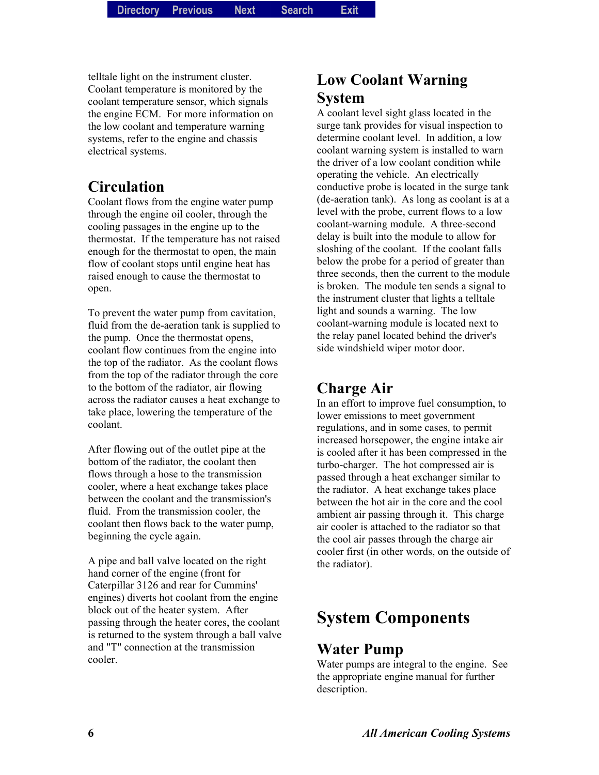telltale light on the instrument cluster. Coolant temperature is monitored by the coolant temperature sensor, which signals the engine ECM. For more information on the low coolant and temperature warning systems, refer to the engine and chassis electrical systems.

### **Circulation**

Coolant flows from the engine water pump through the engine oil cooler, through the cooling passages in the engine up to the thermostat. If the temperature has not raised enough for the thermostat to open, the main flow of coolant stops until engine heat has raised enough to cause the thermostat to open.

To prevent the water pump from cavitation, fluid from the de-aeration tank is supplied to the pump. Once the thermostat opens, coolant flow continues from the engine into the top of the radiator. As the coolant flows from the top of the radiator through the core to the bottom of the radiator, air flowing across the radiator causes a heat exchange to take place, lowering the temperature of the coolant.

After flowing out of the outlet pipe at the bottom of the radiator, the coolant then flows through a hose to the transmission cooler, where a heat exchange takes place between the coolant and the transmission's fluid. From the transmission cooler, the coolant then flows back to the water pump, beginning the cycle again.

A pipe and ball valve located on the right hand corner of the engine (front for Caterpillar 3126 and rear for Cummins' engines) diverts hot coolant from the engine block out of the heater system. After passing through the heater cores, the coolant is returned to the system through a ball valve and "T" connection at the transmission cooler.

## **Low Coolant Warning System**

A coolant level sight glass located in the surge tank provides for visual inspection to determine coolant level. In addition, a low coolant warning system is installed to warn the driver of a low coolant condition while operating the vehicle. An electrically conductive probe is located in the surge tank (de-aeration tank). As long as coolant is at a level with the probe, current flows to a low coolant-warning module. A three-second delay is built into the module to allow for sloshing of the coolant. If the coolant falls below the probe for a period of greater than three seconds, then the current to the module is broken. The module ten sends a signal to the instrument cluster that lights a telltale light and sounds a warning. The low coolant-warning module is located next to the relay panel located behind the driver's side windshield wiper motor door.

### **Charge Air**

In an effort to improve fuel consumption, to lower emissions to meet government regulations, and in some cases, to permit increased horsepower, the engine intake air is cooled after it has been compressed in the turbo-charger. The hot compressed air is passed through a heat exchanger similar to the radiator. A heat exchange takes place between the hot air in the core and the cool ambient air passing through it. This charge air cooler is attached to the radiator so that the cool air passes through the charge air cooler first (in other words, on the outside of the radiator).

# **System Components**

#### **Water Pump**

Water pumps are integral to the engine. See the appropriate engine manual for further description.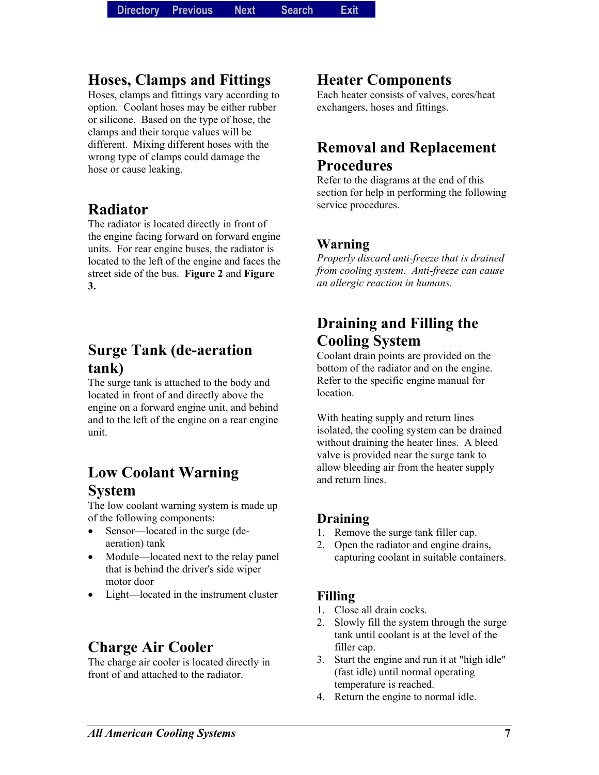### **Hoses, Clamps and Fittings**

Hoses, clamps and fittings vary according to option. Coolant hoses may be either rubber or silicone. Based on the type of hose, the clamps and their torque values will be different. Mixing different hoses with the wrong type of clamps could damage the hose or cause leaking.

### **Radiator**

The radiator is located directly in front of the engine facing forward on forward engine units. For rear engine buses, the radiator is located to the left of the engine and faces the street side of the bus. **Figure 2** and **Figure 3.**

### **Surge Tank (de-aeration tank)**

The surge tank is attached to the body and located in front of and directly above the engine on a forward engine unit, and behind and to the left of the engine on a rear engine unit.

## **Low Coolant Warning System**

The low coolant warning system is made up of the following components:

- Sensor—located in the surge (deaeration) tank
- Module—located next to the relay panel that is behind the driver's side wiper motor door
- Light—located in the instrument cluster

### **Charge Air Cooler**

The charge air cooler is located directly in front of and attached to the radiator.

### **Heater Components**

Each heater consists of valves, cores/heat exchangers, hoses and fittings.

## **Removal and Replacement Procedures**

Refer to the diagrams at the end of this section for help in performing the following service procedures.

#### **Warning**

*Properly discard anti-freeze that is drained from cooling system. Anti-freeze can cause an allergic reaction in humans.* 

# **Draining and Filling the Cooling System**

Coolant drain points are provided on the bottom of the radiator and on the engine. Refer to the specific engine manual for location.

With heating supply and return lines isolated, the cooling system can be drained without draining the heater lines. A bleed valve is provided near the surge tank to allow bleeding air from the heater supply and return lines.

#### **Draining**

- 1. Remove the surge tank filler cap.
- 2. Open the radiator and engine drains, capturing coolant in suitable containers.

#### **Filling**

- 1. Close all drain cocks.
- 2. Slowly fill the system through the surge tank until coolant is at the level of the filler cap.
- 3. Start the engine and run it at "high idle" (fast idle) until normal operating temperature is reached.
- 4. Return the engine to normal idle.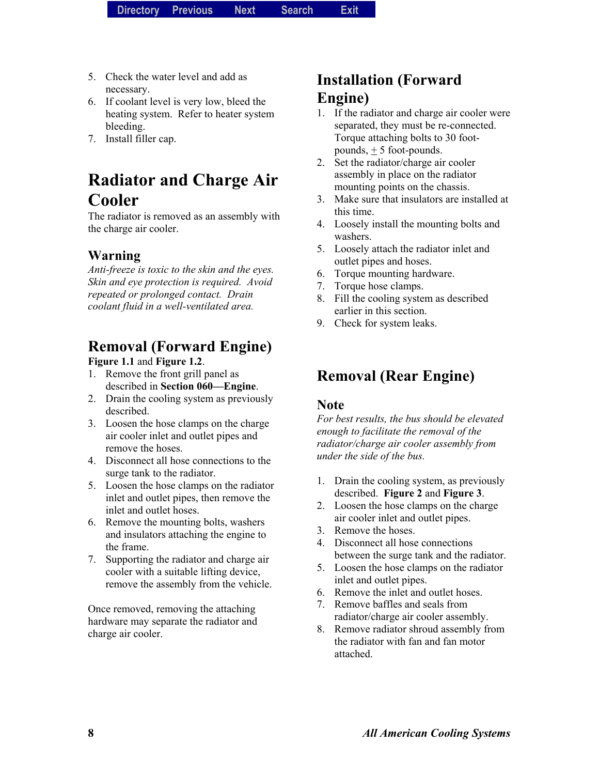- 5. Check the water level and add as necessary.
- 6. If coolant level is very low, bleed the heating system. Refer to heater system bleeding.
- 7. Install filler cap.

# **Radiator and Charge Air Cooler**

The radiator is removed as an assembly with the charge air cooler.

#### **Warning**

*Anti-freeze is toxic to the skin and the eyes. Skin and eye protection is required. Avoid repeated or prolonged contact. Drain coolant fluid in a well-ventilated area.* 

# **Removal (Forward Engine)**

#### **Figure 1.1** and **Figure 1.2**.

- 1. Remove the front grill panel as described in **Section 060—Engine**.
- 2. Drain the cooling system as previously described.
- 3. Loosen the hose clamps on the charge air cooler inlet and outlet pipes and remove the hoses.
- 4. Disconnect all hose connections to the surge tank to the radiator.
- 5. Loosen the hose clamps on the radiator inlet and outlet pipes, then remove the inlet and outlet hoses.
- 6. Remove the mounting bolts, washers and insulators attaching the engine to the frame.
- 7. Supporting the radiator and charge air cooler with a suitable lifting device, remove the assembly from the vehicle.

Once removed, removing the attaching hardware may separate the radiator and charge air cooler.

## **Installation (Forward Engine)**

- 1. If the radiator and charge air cooler were separated, they must be re-connected. Torque attaching bolts to 30 footpounds,  $\pm$  5 foot-pounds.
- 2. Set the radiator/charge air cooler assembly in place on the radiator mounting points on the chassis.
- 3. Make sure that insulators are installed at this time.
- 4. Loosely install the mounting bolts and washers.
- 5. Loosely attach the radiator inlet and outlet pipes and hoses.
- 6. Torque mounting hardware.
- 7. Torque hose clamps.
- 8. Fill the cooling system as described earlier in this section.
- 9. Check for system leaks.

### **Removal (Rear Engine)**

#### **Note**

*For best results, the bus should be elevated enough to facilitate the removal of the radiator/charge air cooler assembly from under the side of the bus.* 

- 1. Drain the cooling system, as previously described. **Figure 2** and **Figure 3**.
- 2. Loosen the hose clamps on the charge air cooler inlet and outlet pipes.
- 3. Remove the hoses.
- 4. Disconnect all hose connections between the surge tank and the radiator.
- 5. Loosen the hose clamps on the radiator inlet and outlet pipes.
- 6. Remove the inlet and outlet hoses.
- 7. Remove baffles and seals from radiator/charge air cooler assembly.
- 8. Remove radiator shroud assembly from the radiator with fan and fan motor attached.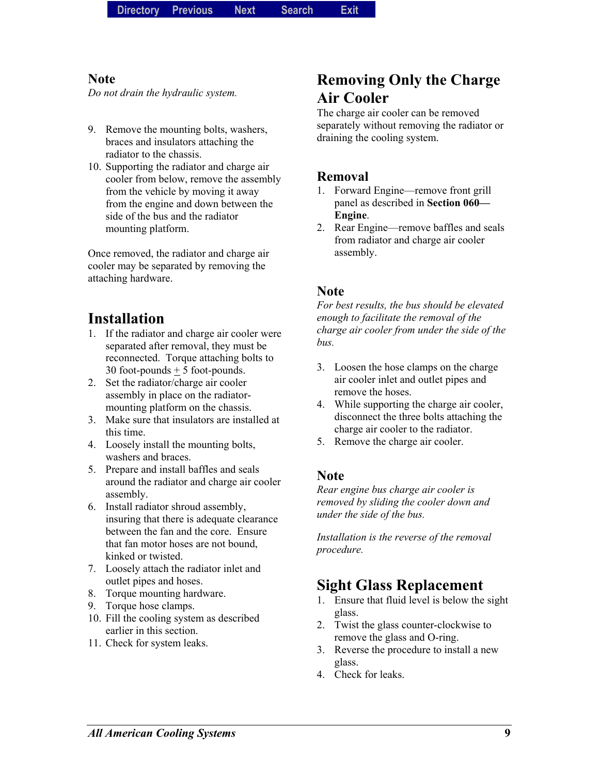#### **Note**

*Do not drain the hydraulic system.* 

- 9. Remove the mounting bolts, washers, braces and insulators attaching the radiator to the chassis.
- 10. Supporting the radiator and charge air cooler from below, remove the assembly from the vehicle by moving it away from the engine and down between the side of the bus and the radiator mounting platform.

Once removed, the radiator and charge air cooler may be separated by removing the attaching hardware.

# **Installation**

- 1. If the radiator and charge air cooler were separated after removal, they must be reconnected. Torque attaching bolts to 30 foot-pounds  $\pm$  5 foot-pounds.
- 2. Set the radiator/charge air cooler assembly in place on the radiatormounting platform on the chassis.
- 3. Make sure that insulators are installed at this time.
- 4. Loosely install the mounting bolts, washers and braces.
- 5. Prepare and install baffles and seals around the radiator and charge air cooler assembly.
- 6. Install radiator shroud assembly, insuring that there is adequate clearance between the fan and the core. Ensure that fan motor hoses are not bound, kinked or twisted.
- 7. Loosely attach the radiator inlet and outlet pipes and hoses.
- 8. Torque mounting hardware.
- 9. Torque hose clamps.
- 10. Fill the cooling system as described earlier in this section.
- 11. Check for system leaks.

## **Removing Only the Charge Air Cooler**

The charge air cooler can be removed separately without removing the radiator or draining the cooling system.

#### **Removal**

- 1. Forward Engine—remove front grill panel as described in **Section 060— Engine**.
- 2. Rear Engine—remove baffles and seals from radiator and charge air cooler assembly.

#### **Note**

*For best results, the bus should be elevated enough to facilitate the removal of the charge air cooler from under the side of the bus.* 

- 3. Loosen the hose clamps on the charge air cooler inlet and outlet pipes and remove the hoses.
- 4. While supporting the charge air cooler, disconnect the three bolts attaching the charge air cooler to the radiator.
- 5. Remove the charge air cooler.

#### **Note**

*Rear engine bus charge air cooler is removed by sliding the cooler down and under the side of the bus.* 

*Installation is the reverse of the removal procedure.*

### **Sight Glass Replacement**

- 1. Ensure that fluid level is below the sight glass.
- 2. Twist the glass counter-clockwise to remove the glass and O-ring.
- 3. Reverse the procedure to install a new glass.
- 4. Check for leaks.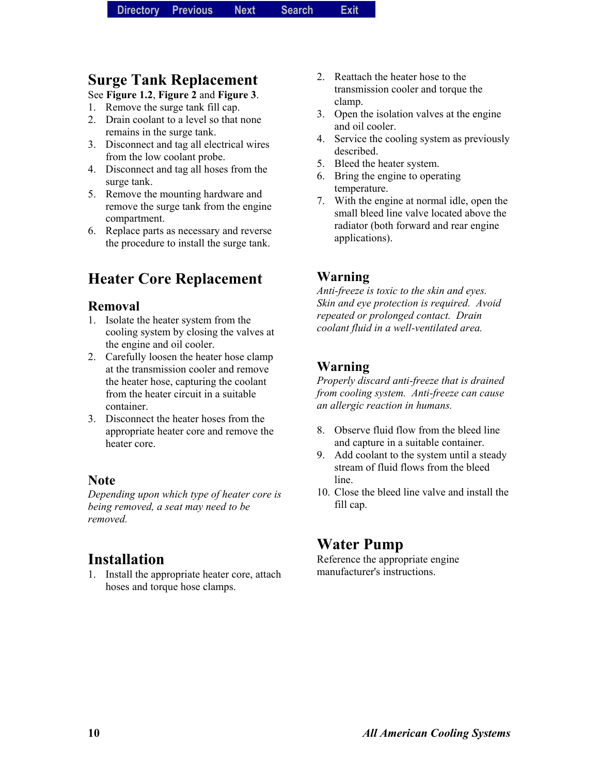### **Surge Tank Replacement**

- See **Figure 1.2**, **Figure 2** and **Figure 3**.
- 1. Remove the surge tank fill cap.
- 2. Drain coolant to a level so that none remains in the surge tank.
- 3. Disconnect and tag all electrical wires from the low coolant probe.
- 4. Disconnect and tag all hoses from the surge tank.
- 5. Remove the mounting hardware and remove the surge tank from the engine compartment.
- 6. Replace parts as necessary and reverse the procedure to install the surge tank.

## **Heater Core Replacement**

#### **Removal**

- 1. Isolate the heater system from the cooling system by closing the valves at the engine and oil cooler.
- 2. Carefully loosen the heater hose clamp at the transmission cooler and remove the heater hose, capturing the coolant from the heater circuit in a suitable container.
- 3. Disconnect the heater hoses from the appropriate heater core and remove the heater core.

#### **Note**

*Depending upon which type of heater core is being removed, a seat may need to be removed.* 

### **Installation**

1. Install the appropriate heater core, attach hoses and torque hose clamps.

- 2. Reattach the heater hose to the transmission cooler and torque the clamp.
- 3. Open the isolation valves at the engine and oil cooler.
- 4. Service the cooling system as previously described.
- 5. Bleed the heater system.
- 6. Bring the engine to operating temperature.
- 7. With the engine at normal idle, open the small bleed line valve located above the radiator (both forward and rear engine applications).

#### **Warning**

*Anti-freeze is toxic to the skin and eyes. Skin and eye protection is required. Avoid repeated or prolonged contact. Drain coolant fluid in a well-ventilated area.* 

#### **Warning**

*Properly discard anti-freeze that is drained from cooling system. Anti-freeze can cause an allergic reaction in humans.* 

- 8. Observe fluid flow from the bleed line and capture in a suitable container.
- 9. Add coolant to the system until a steady stream of fluid flows from the bleed line.
- 10. Close the bleed line valve and install the fill cap.

### **Water Pump**

Reference the appropriate engine manufacturer's instructions.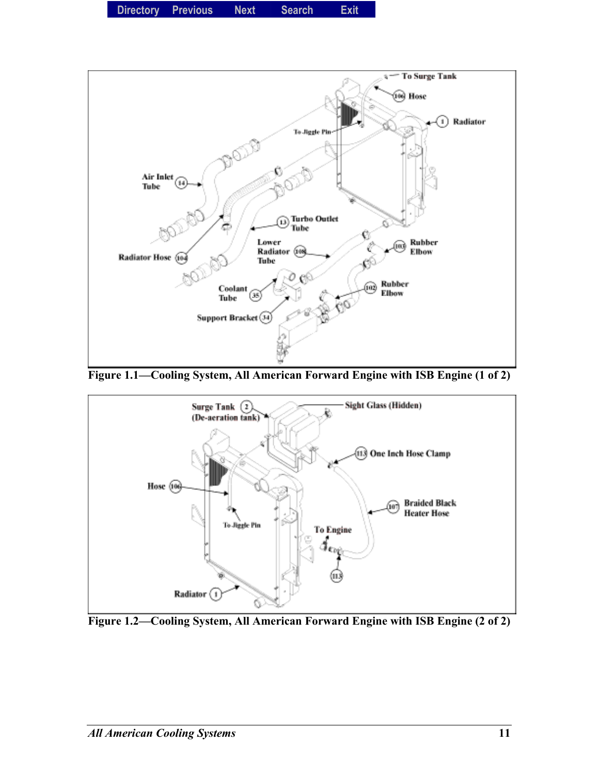



Figure 1.1—Cooling System, All American Forward Engine with ISB Engine (1 of 2)



Figure 1.2–Cooling System, All American Forward Engine with ISB Engine (2 of 2)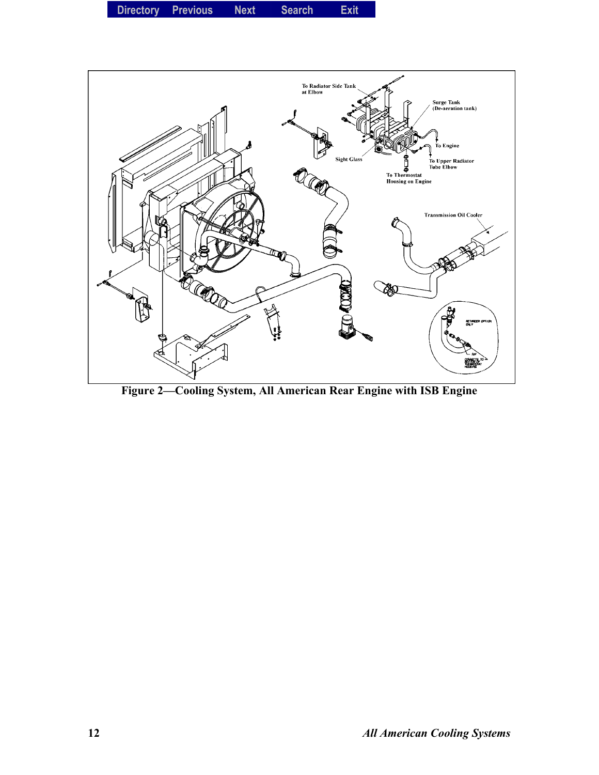**Directory Previous Next Search Exit** 



Figure 2—Cooling System, All American Rear Engine with ISB Engine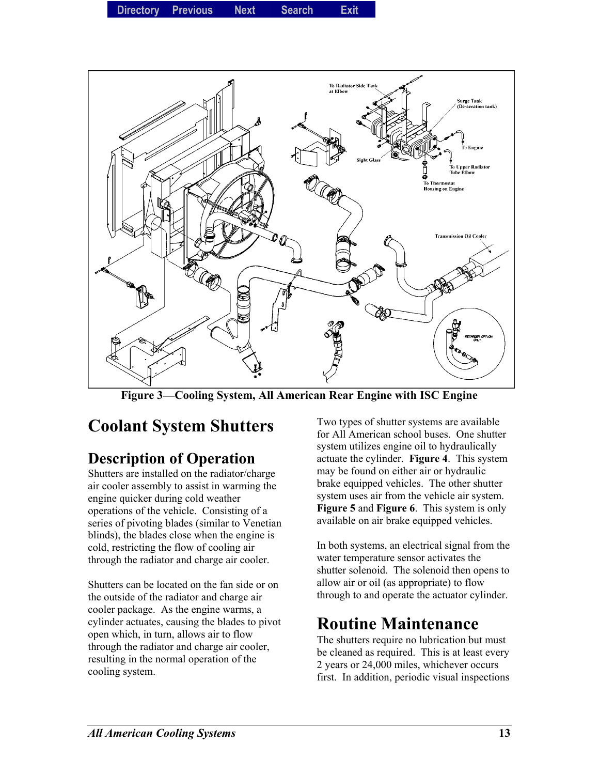**Directory Previous Next Search Exit** 



Figure 3—Cooling System, All American Rear Engine with ISC Engine

# **Coolant System Shutters**

# **Description of Operation**

Shutters are installed on the radiator/charge air cooler assembly to assist in warming the engine quicker during cold weather operations of the vehicle. Consisting of a series of pivoting blades (similar to Venetian blinds), the blades close when the engine is cold, restricting the flow of cooling air through the radiator and charge air cooler.

Shutters can be located on the fan side or on the outside of the radiator and charge air cooler package. As the engine warms, a cylinder actuates, causing the blades to pivot open which, in turn, allows air to flow through the radiator and charge air cooler, resulting in the normal operation of the cooling system.

Two types of shutter systems are available for All American school buses. One shutter system utilizes engine oil to hydraulically actuate the cylinder. **Figure 4**. This system may be found on either air or hydraulic brake equipped vehicles. The other shutter system uses air from the vehicle air system. **Figure 5** and **Figure 6**. This system is only available on air brake equipped vehicles.

In both systems, an electrical signal from the water temperature sensor activates the shutter solenoid. The solenoid then opens to allow air or oil (as appropriate) to flow through to and operate the actuator cylinder.

# **Routine Maintenance**

The shutters require no lubrication but must be cleaned as required. This is at least every 2 years or 24,000 miles, whichever occurs first. In addition, periodic visual inspections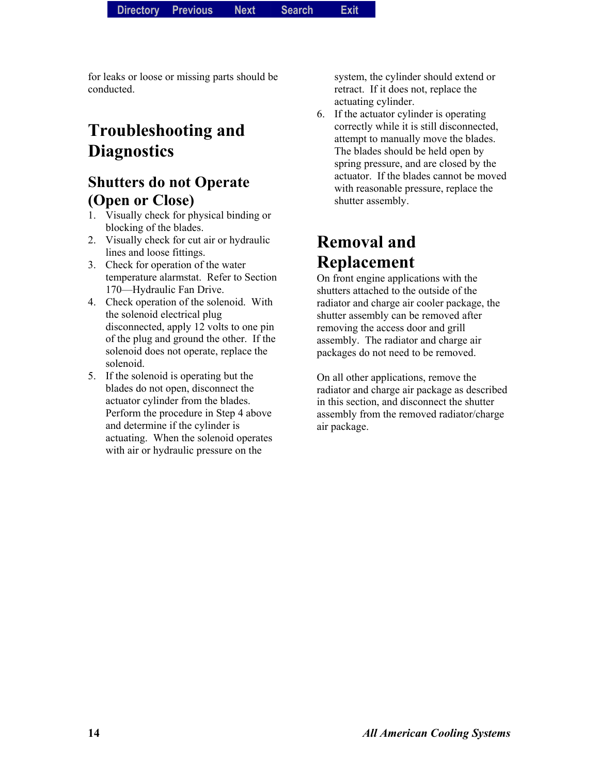for leaks or loose or missing parts should be conducted.

# **Troubleshooting and Diagnostics**

### **Shutters do not Operate (Open or Close)**

- 1. Visually check for physical binding or blocking of the blades.
- 2. Visually check for cut air or hydraulic lines and loose fittings.
- 3. Check for operation of the water temperature alarmstat. Refer to Section 170—Hydraulic Fan Drive.
- 4. Check operation of the solenoid. With the solenoid electrical plug disconnected, apply 12 volts to one pin of the plug and ground the other. If the solenoid does not operate, replace the solenoid.
- 5. If the solenoid is operating but the blades do not open, disconnect the actuator cylinder from the blades. Perform the procedure in Step 4 above and determine if the cylinder is actuating. When the solenoid operates with air or hydraulic pressure on the

system, the cylinder should extend or retract. If it does not, replace the actuating cylinder.

6. If the actuator cylinder is operating correctly while it is still disconnected, attempt to manually move the blades. The blades should be held open by spring pressure, and are closed by the actuator. If the blades cannot be moved with reasonable pressure, replace the shutter assembly.

# **Removal and Replacement**

On front engine applications with the shutters attached to the outside of the radiator and charge air cooler package, the shutter assembly can be removed after removing the access door and grill assembly. The radiator and charge air packages do not need to be removed.

On all other applications, remove the radiator and charge air package as described in this section, and disconnect the shutter assembly from the removed radiator/charge air package.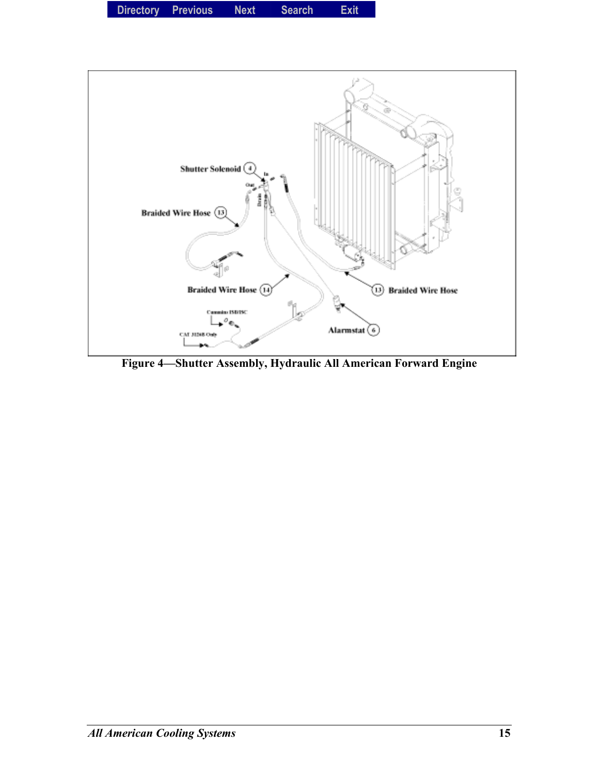



Figure 4–Shutter Assembly, Hydraulic All American Forward Engine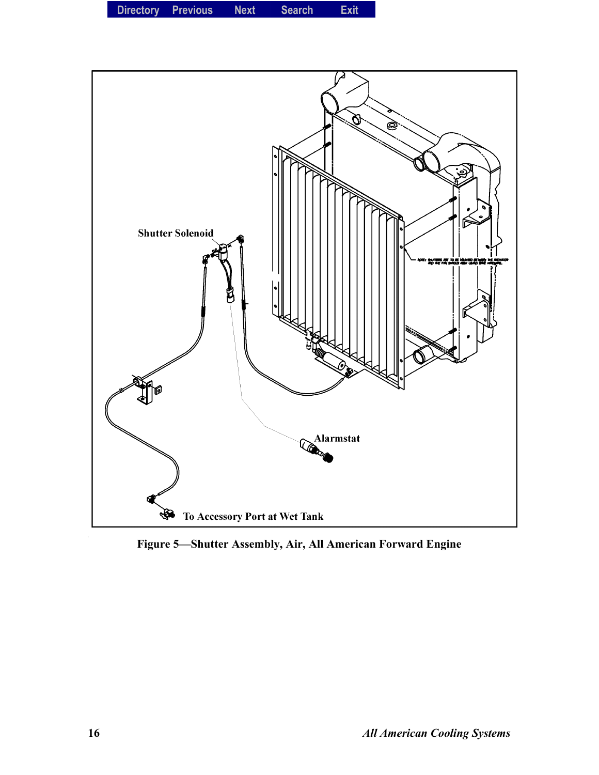**Directory Previous Next Search Exit** 



Figure 5-Shutter Assembly, Air, All American Forward Engine